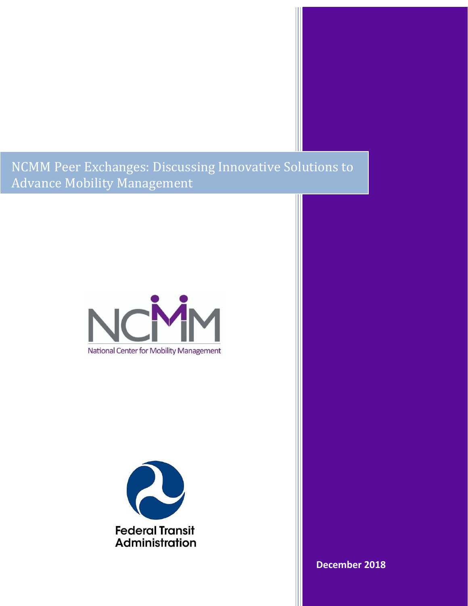NCMM Peer Exchanges: Discussing Innovative Solutions to Advance Mobility Management





**December 2018**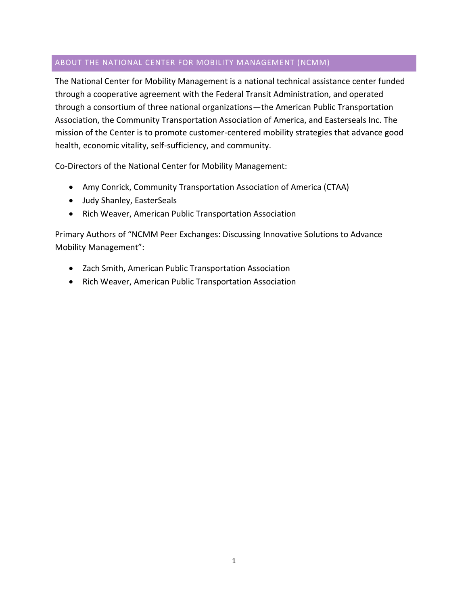# <span id="page-1-0"></span>ABOUT THE NATIONAL CENTER FOR MOBILITY MANAGEMENT (NCMM)

The National Center for Mobility Management is a national technical assistance center funded through a cooperative agreement with the Federal Transit Administration, and operated through a consortium of three national organizations—the American Public Transportation Association, the Community Transportation Association of America, and Easterseals Inc. The mission of the Center is to promote customer-centered mobility strategies that advance good health, economic vitality, self-sufficiency, and community.

Co-Directors of the National Center for Mobility Management:

- Amy Conrick, Community Transportation Association of America (CTAA)
- Judy Shanley, EasterSeals
- Rich Weaver, American Public Transportation Association

Primary Authors of "NCMM Peer Exchanges: Discussing Innovative Solutions to Advance Mobility Management":

- Zach Smith, American Public Transportation Association
- Rich Weaver, American Public Transportation Association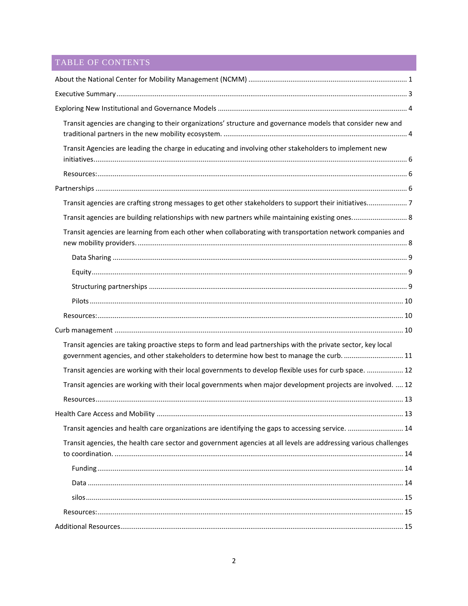# TABLE OF CONTENTS

| Transit agencies are changing to their organizations' structure and governance models that consider new and                                                                                               |  |
|-----------------------------------------------------------------------------------------------------------------------------------------------------------------------------------------------------------|--|
| Transit Agencies are leading the charge in educating and involving other stakeholders to implement new                                                                                                    |  |
|                                                                                                                                                                                                           |  |
|                                                                                                                                                                                                           |  |
| Transit agencies are crafting strong messages to get other stakeholders to support their initiatives7                                                                                                     |  |
| Transit agencies are building relationships with new partners while maintaining existing ones 8                                                                                                           |  |
| Transit agencies are learning from each other when collaborating with transportation network companies and                                                                                                |  |
|                                                                                                                                                                                                           |  |
|                                                                                                                                                                                                           |  |
|                                                                                                                                                                                                           |  |
|                                                                                                                                                                                                           |  |
|                                                                                                                                                                                                           |  |
|                                                                                                                                                                                                           |  |
| Transit agencies are taking proactive steps to form and lead partnerships with the private sector, key local<br>government agencies, and other stakeholders to determine how best to manage the curb.  11 |  |
| Transit agencies are working with their local governments to develop flexible uses for curb space.  12                                                                                                    |  |
| Transit agencies are working with their local governments when major development projects are involved.  12                                                                                               |  |
|                                                                                                                                                                                                           |  |
|                                                                                                                                                                                                           |  |
| Transit agencies and health care organizations are identifying the gaps to accessing service.  14                                                                                                         |  |
| Transit agencies, the health care sector and government agencies at all levels are addressing various challenges                                                                                          |  |
|                                                                                                                                                                                                           |  |
|                                                                                                                                                                                                           |  |
|                                                                                                                                                                                                           |  |
|                                                                                                                                                                                                           |  |
|                                                                                                                                                                                                           |  |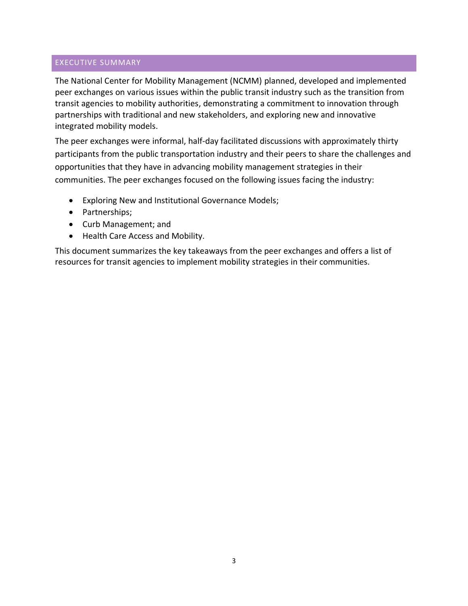## <span id="page-3-0"></span>EXECUTIVE SUMMARY

The National Center for Mobility Management (NCMM) planned, developed and implemented peer exchanges on various issues within the public transit industry such as the transition from transit agencies to mobility authorities, demonstrating a commitment to innovation through partnerships with traditional and new stakeholders, and exploring new and innovative integrated mobility models.

The peer exchanges were informal, half-day facilitated discussions with approximately thirty participants from the public transportation industry and their peers to share the challenges and opportunities that they have in advancing mobility management strategies in their communities. The peer exchanges focused on the following issues facing the industry:

- Exploring New and Institutional Governance Models;
- Partnerships;
- Curb Management; and
- Health Care Access and Mobility.

This document summarizes the key takeaways from the peer exchanges and offers a list of resources for transit agencies to implement mobility strategies in their communities.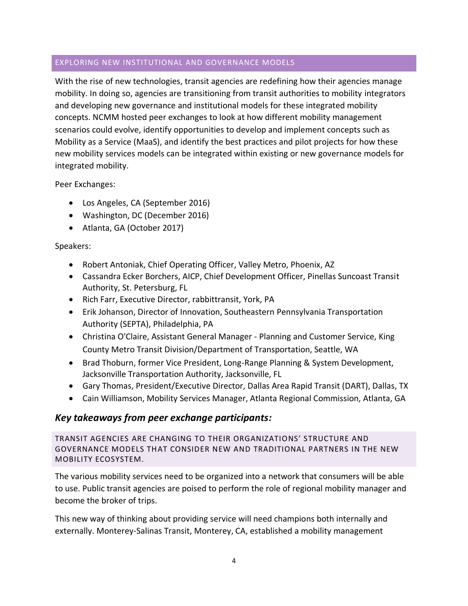# <span id="page-4-0"></span>EXPLORING NEW INSTITUTIONAL AND GOVERNANCE MODELS

With the rise of new technologies, transit agencies are redefining how their agencies manage mobility. In doing so, agencies are transitioning from transit authorities to mobility integrators and developing new governance and institutional models for these integrated mobility concepts. NCMM hosted peer exchanges to look at how different mobility management scenarios could evolve, identify opportunities to develop and implement concepts such as Mobility as a Service (MaaS), and identify the best practices and pilot projects for how these new mobility services models can be integrated within existing or new governance models for integrated mobility.

Peer Exchanges:

- Los Angeles, CA (September 2016)
- Washington, DC (December 2016)
- Atlanta, GA (October 2017)

# Speakers:

- Robert Antoniak, Chief Operating Officer, Valley Metro, Phoenix, AZ
- Cassandra Ecker Borchers, AICP, Chief Development Officer, Pinellas Suncoast Transit Authority, St. Petersburg, FL
- Rich Farr, Executive Director, rabbittransit, York, PA
- Erik Johanson, Director of Innovation, Southeastern Pennsylvania Transportation Authority (SEPTA), Philadelphia, PA
- Christina O'Claire, Assistant General Manager Planning and Customer Service, King County Metro Transit Division/Department of Transportation, Seattle, WA
- Brad Thoburn, former Vice President, Long-Range Planning & System Development, Jacksonville Transportation Authority, Jacksonville, FL
- Gary Thomas, President/Executive Director, Dallas Area Rapid Transit (DART), Dallas, TX
- Cain Williamson, Mobility Services Manager, Atlanta Regional Commission, Atlanta, GA

# *Key takeaways from peer exchange participants:*

<span id="page-4-1"></span>TRANSIT AGENCIES ARE CHANGING TO THEIR ORGANIZATIONS' STRUCTURE AND GOVERNANCE MODELS THAT CONSIDER NEW AND TRADITIONAL PARTNERS IN THE NEW MOBILITY ECOSYSTEM.

The various mobility services need to be organized into a network that consumers will be able to use. Public transit agencies are poised to perform the role of regional mobility manager and become the broker of trips.

This new way of thinking about providing service will need champions both internally and externally. Monterey-Salinas Transit, Monterey, CA, established a mobility management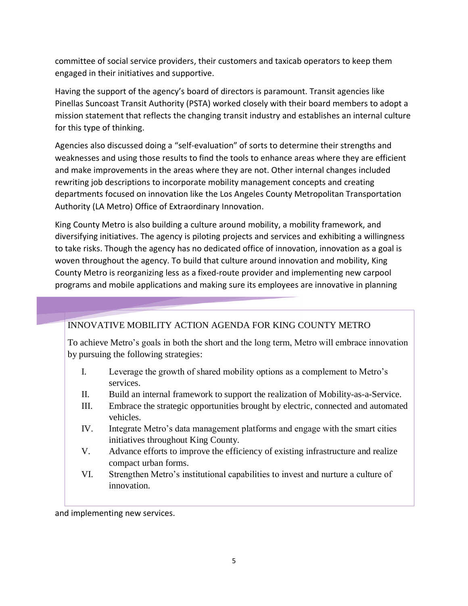committee of social service providers, their customers and taxicab operators to keep them engaged in their initiatives and supportive.

Having the support of the agency's board of directors is paramount. Transit agencies like Pinellas Suncoast Transit Authority (PSTA) worked closely with their board members to adopt a mission statement that reflects the changing transit industry and establishes an internal culture for this type of thinking.

Agencies also discussed doing a "self-evaluation" of sorts to determine their strengths and weaknesses and using those results to find the tools to enhance areas where they are efficient and make improvements in the areas where they are not. Other internal changes included rewriting job descriptions to incorporate mobility management concepts and creating departments focused on innovation like the Los Angeles County Metropolitan Transportation Authority (LA Metro) Office of Extraordinary Innovation.

King County Metro is also building a culture around mobility, a mobility framework, and diversifying initiatives. The agency is piloting projects and services and exhibiting a willingness to take risks. Though the agency has no dedicated office of innovation, innovation as a goal is woven throughout the agency. To build that culture around innovation and mobility, King County Metro is reorganizing less as a fixed-route provider and implementing new carpool programs and mobile applications and making sure its employees are innovative in planning

# INNOVATIVE MOBILITY ACTION AGENDA FOR KING COUNTY METRO

To achieve Metro's goals in both the short and the long term, Metro will embrace innovation by pursuing the following strategies:

- I. Leverage the growth of shared mobility options as a complement to Metro's services.
- II. Build an internal framework to support the realization of Mobility-as-a-Service.
- III. Embrace the strategic opportunities brought by electric, connected and automated vehicles.
- IV. Integrate Metro's data management platforms and engage with the smart cities initiatives throughout King County.
- V. Advance efforts to improve the efficiency of existing infrastructure and realize compact urban forms.
- VI. Strengthen Metro's institutional capabilities to invest and nurture a culture of innovation.

and implementing new services.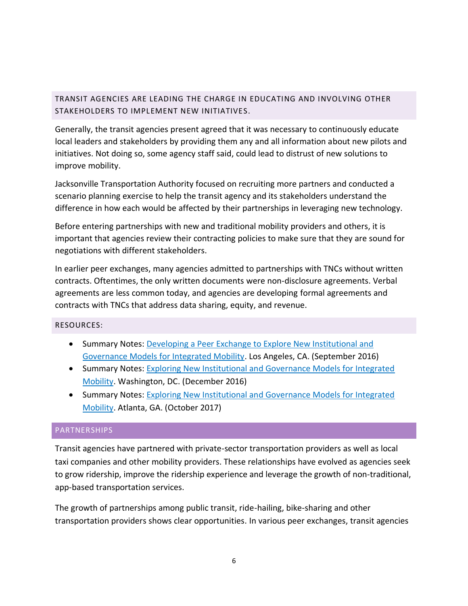# <span id="page-6-0"></span>TRANSIT AGENCIES ARE LEADING THE CHARGE IN EDUCATING AND INVOLVING OTHER STAKEHOLDERS TO IMPLEMENT NEW INITIATIVES.

Generally, the transit agencies present agreed that it was necessary to continuously educate local leaders and stakeholders by providing them any and all information about new pilots and initiatives. Not doing so, some agency staff said, could lead to distrust of new solutions to improve mobility.

Jacksonville Transportation Authority focused on recruiting more partners and conducted a scenario planning exercise to help the transit agency and its stakeholders understand the difference in how each would be affected by their partnerships in leveraging new technology.

Before entering partnerships with new and traditional mobility providers and others, it is important that agencies review their contracting policies to make sure that they are sound for negotiations with different stakeholders.

In earlier peer exchanges, many agencies admitted to partnerships with TNCs without written contracts. Oftentimes, the only written documents were non-disclosure agreements. Verbal agreements are less common today, and agencies are developing formal agreements and contracts with TNCs that address data sharing, equity, and revenue.

## <span id="page-6-1"></span>RESOURCES:

- Summary Notes: [Developing a Peer Exchange to Explore New Institutional and](https://www.apta.com/resources/mobility/Documents/Los%20Angeles%202016%20-%20NCMM_Brief_Template.pdf)  [Governance Models for Integrated Mobility.](https://www.apta.com/resources/mobility/Documents/Los%20Angeles%202016%20-%20NCMM_Brief_Template.pdf) Los Angeles, CA. (September 2016)
- Summary Notes: Exploring New Institutional and Governance Models for Integrated [Mobility.](https://www.apta.com/resources/mobility/Documents/Washington,%20DC%20December%202016%20-%20NCMM_Brief_Template.pdf) Washington, DC. (December 2016)
- Summary Notes: [Exploring New Institutional and Governance Models for Integrated](https://www.apta.com/resources/mobility/Documents/notes-PEER-EXCHANGE-ATLANTA-ZS-modified-ALL-names-final.pdf)  [Mobility.](https://www.apta.com/resources/mobility/Documents/notes-PEER-EXCHANGE-ATLANTA-ZS-modified-ALL-names-final.pdf) Atlanta, GA. (October 2017)

#### <span id="page-6-2"></span>PARTNERSHIPS

Transit agencies have partnered with private-sector transportation providers as well as local taxi companies and other mobility providers. These relationships have evolved as agencies seek to grow ridership, improve the ridership experience and leverage the growth of non-traditional, app-based transportation services.

The growth of partnerships among public transit, ride-hailing, bike-sharing and other transportation providers shows clear opportunities. In various peer exchanges, transit agencies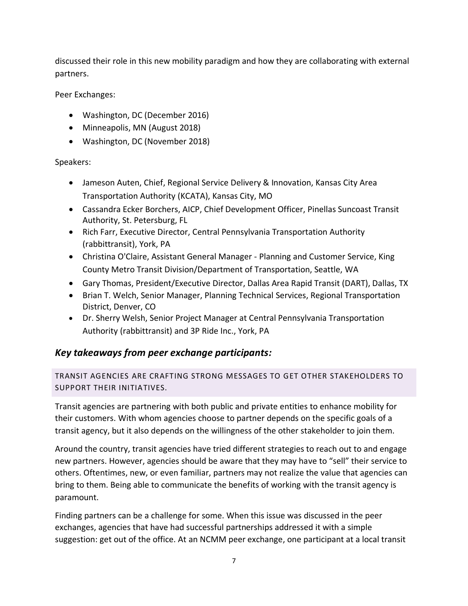discussed their role in this new mobility paradigm and how they are collaborating with external partners.

Peer Exchanges:

- Washington, DC (December 2016)
- Minneapolis, MN (August 2018)
- Washington, DC (November 2018)

Speakers:

- Jameson Auten, Chief, Regional Service Delivery & Innovation, Kansas City Area Transportation Authority (KCATA), Kansas City, MO
- Cassandra Ecker Borchers, AICP, Chief Development Officer, Pinellas Suncoast Transit Authority, St. Petersburg, FL
- Rich Farr, Executive Director, Central Pennsylvania Transportation Authority (rabbittransit), York, PA
- Christina O'Claire, Assistant General Manager Planning and Customer Service, King County Metro Transit Division/Department of Transportation, Seattle, WA
- Gary Thomas, President/Executive Director, Dallas Area Rapid Transit (DART), Dallas, TX
- Brian T. Welch, Senior Manager, Planning Technical Services, Regional Transportation District, Denver, CO
- Dr. Sherry Welsh, Senior Project Manager at Central Pennsylvania Transportation Authority (rabbittransit) and 3P Ride Inc., York, PA

# *Key takeaways from peer exchange participants:*

<span id="page-7-0"></span>TRANSIT AGENCIES ARE CRAFTING STRONG MESSAGES TO GET OTHER STAKEHOLDERS TO SUPPORT THEIR INITIATIVES.

Transit agencies are partnering with both public and private entities to enhance mobility for their customers. With whom agencies choose to partner depends on the specific goals of a transit agency, but it also depends on the willingness of the other stakeholder to join them.

Around the country, transit agencies have tried different strategies to reach out to and engage new partners. However, agencies should be aware that they may have to "sell" their service to others. Oftentimes, new, or even familiar, partners may not realize the value that agencies can bring to them. Being able to communicate the benefits of working with the transit agency is paramount.

Finding partners can be a challenge for some. When this issue was discussed in the peer exchanges, agencies that have had successful partnerships addressed it with a simple suggestion: get out of the office. At an NCMM peer exchange, one participant at a local transit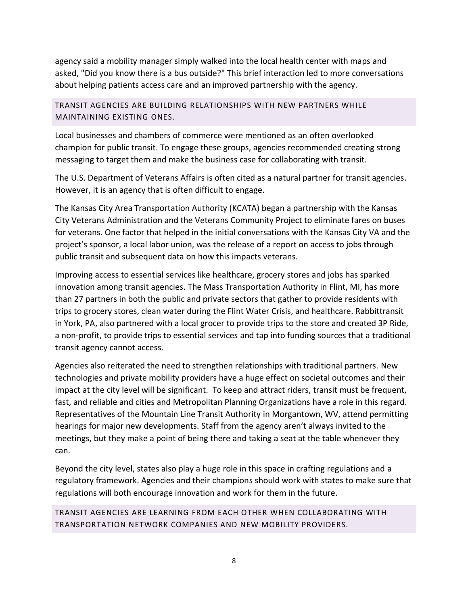agency said a mobility manager simply walked into the local health center with maps and asked, "Did you know there is a bus outside?" This brief interaction led to more conversations about helping patients access care and an improved partnership with the agency.

<span id="page-8-0"></span>TRANSIT AGENCIES ARE BUILDING RELATIONSHIPS WITH NEW PARTNERS WHILE MAINTAINING EXISTING ONES.

Local businesses and chambers of commerce were mentioned as an often overlooked champion for public transit. To engage these groups, agencies recommended creating strong messaging to target them and make the business case for collaborating with transit.

The U.S. Department of Veterans Affairs is often cited as a natural partner for transit agencies. However, it is an agency that is often difficult to engage.

The Kansas City Area Transportation Authority (KCATA) began a partnership with the Kansas City Veterans Administration and the Veterans Community Project to eliminate fares on buses for veterans. One factor that helped in the initial conversations with the Kansas City VA and the project's sponsor, a local labor union, was the release of a report on access to jobs through public transit and subsequent data on how this impacts veterans.

Improving access to essential services like healthcare, grocery stores and jobs has sparked innovation among transit agencies. The Mass Transportation Authority in Flint, MI, has more than 27 partners in both the public and private sectors that gather to provide residents with trips to grocery stores, clean water during the Flint Water Crisis, and healthcare. Rabbittransit in York, PA, also partnered with a local grocer to provide trips to the store and created 3P Ride, a non-profit, to provide trips to essential services and tap into funding sources that a traditional transit agency cannot access.

Agencies also reiterated the need to strengthen relationships with traditional partners. New technologies and private mobility providers have a huge effect on societal outcomes and their impact at the city level will be significant. To keep and attract riders, transit must be frequent, fast, and reliable and cities and Metropolitan Planning Organizations have a role in this regard. Representatives of the Mountain Line Transit Authority in Morgantown, WV, attend permitting hearings for major new developments. Staff from the agency aren't always invited to the meetings, but they make a point of being there and taking a seat at the table whenever they can.

Beyond the city level, states also play a huge role in this space in crafting regulations and a regulatory framework. Agencies and their champions should work with states to make sure that regulations will both encourage innovation and work for them in the future.

<span id="page-8-1"></span>TRANSIT AGENCIES ARE LEARNING FROM EACH OTHER WHEN COLLABORATING WITH TRANSPORTATION NETWORK COMPANIES AND NEW MOBILITY PROVIDERS.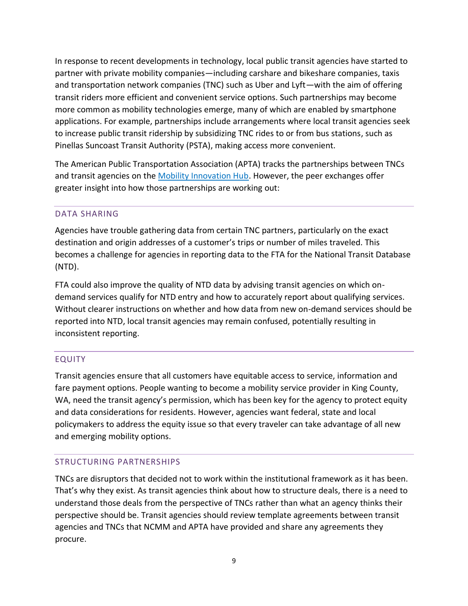In response to recent developments in technology, local public transit agencies have started to partner with private mobility companies—including carshare and bikeshare companies, taxis and transportation network companies (TNC) such as Uber and Lyft—with the aim of offering transit riders more efficient and convenient service options. Such partnerships may become more common as mobility technologies emerge, many of which are enabled by smartphone applications. For example, partnerships include arrangements where local transit agencies seek to increase public transit ridership by subsidizing TNC rides to or from bus stations, such as Pinellas Suncoast Transit Authority (PSTA), making access more convenient.

The American Public Transportation Association (APTA) tracks the partnerships between TNCs and transit agencies on the [Mobility Innovation Hub.](https://www.apta.com/resources/mobility/Pages/default.aspx) However, the peer exchanges offer greater insight into how those partnerships are working out:

# <span id="page-9-0"></span>DATA SHARING

Agencies have trouble gathering data from certain TNC partners, particularly on the exact destination and origin addresses of a customer's trips or number of miles traveled. This becomes a challenge for agencies in reporting data to the FTA for the National Transit Database (NTD).

FTA could also improve the quality of NTD data by advising transit agencies on which ondemand services qualify for NTD entry and how to accurately report about qualifying services. Without clearer instructions on whether and how data from new on-demand services should be reported into NTD, local transit agencies may remain confused, potentially resulting in inconsistent reporting.

# <span id="page-9-1"></span>EQUITY

Transit agencies ensure that all customers have equitable access to service, information and fare payment options. People wanting to become a mobility service provider in King County, WA, need the transit agency's permission, which has been key for the agency to protect equity and data considerations for residents. However, agencies want federal, state and local policymakers to address the equity issue so that every traveler can take advantage of all new and emerging mobility options.

## <span id="page-9-2"></span>STRUCTURING PARTNERSHIPS

TNCs are disruptors that decided not to work within the institutional framework as it has been. That's why they exist. As transit agencies think about how to structure deals, there is a need to understand those deals from the perspective of TNCs rather than what an agency thinks their perspective should be. Transit agencies should review template agreements between transit agencies and TNCs that NCMM and APTA have provided and share any agreements they procure.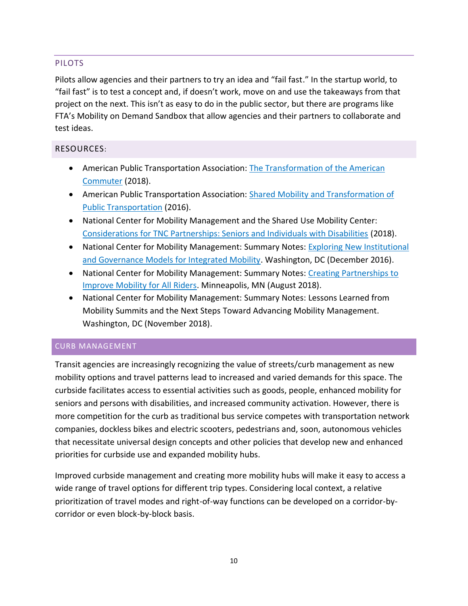# <span id="page-10-0"></span>PILOTS

Pilots allow agencies and their partners to try an idea and "fail fast." In the startup world, to "fail fast" is to test a concept and, if doesn't work, move on and use the takeaways from that project on the next. This isn't as easy to do in the public sector, but there are programs like FTA's Mobility on Demand Sandbox that allow agencies and their partners to collaborate and test ideas.

# <span id="page-10-1"></span>RESOURCES:

- American Public Transportation Association: The Transformation of the American [Commuter](https://www.apta.com/resources/reportsandpublications/Pages/Transformation-American-Commuter.aspx) (2018).
- American Public Transportation Association: Shared Mobility and Transformation of [Public Transportation](https://www.apta.com/resources/hottopics/Pages/Shared-Use-Mobility.aspx) (2016).
- National Center for Mobility Management and the Shared Use Mobility Center: [Considerations for TNC Partnerships: Seniors and Individuals with Disabilities](https://www.apta.com/resources/mobility/Documents/NCMM%20-%20TNC%20Partnerships.pdf) (2018).
- National Center for Mobility Management: Summary Notes: Exploring New Institutional [and Governance Models for Integrated Mobility.](https://www.apta.com/resources/mobility/Documents/Washington,%20DC%20December%202016%20-%20NCMM_Brief_Template.pdf) Washington, DC (December 2016).
- National Center for Mobility Management: Summary Notes: Creating Partnerships to [Improve Mobility for All Riders.](https://www.apta.com/resources/mobility/Documents/Minneapolis%20%20August%202018%20-%20NCMM_Brief_Template.pdf) Minneapolis, MN (August 2018).
- National Center for Mobility Management: Summary Notes: Lessons Learned from Mobility Summits and the Next Steps Toward Advancing Mobility Management. Washington, DC (November 2018).

## <span id="page-10-2"></span>CURB MANAGEMENT

Transit agencies are increasingly recognizing the value of streets/curb management as new mobility options and travel patterns lead to increased and varied demands for this space. The curbside facilitates access to essential activities such as goods, people, enhanced mobility for seniors and persons with disabilities, and increased community activation. However, there is more competition for the curb as traditional bus service competes with transportation network companies, dockless bikes and electric scooters, pedestrians and, soon, autonomous vehicles that necessitate universal design concepts and other policies that develop new and enhanced priorities for curbside use and expanded mobility hubs.

Improved curbside management and creating more mobility hubs will make it easy to access a wide range of travel options for different trip types. Considering local context, a relative prioritization of travel modes and right-of-way functions can be developed on a corridor-bycorridor or even block-by-block basis.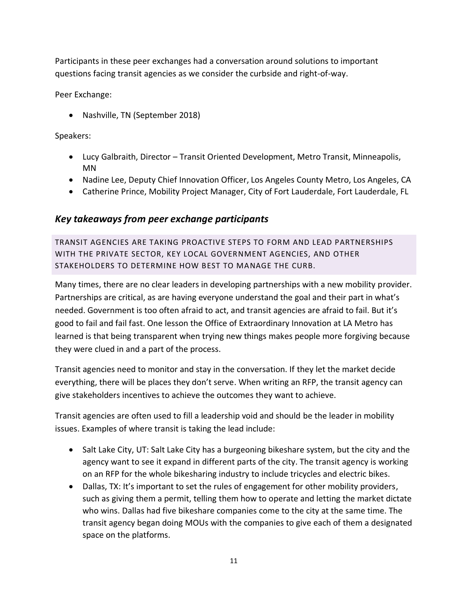Participants in these peer exchanges had a conversation around solutions to important questions facing transit agencies as we consider the curbside and right-of-way.

Peer Exchange:

• Nashville, TN (September 2018)

Speakers:

- Lucy Galbraith, Director Transit Oriented Development, Metro Transit, Minneapolis, MN
- Nadine Lee, Deputy Chief Innovation Officer, Los Angeles County Metro, Los Angeles, CA
- Catherine Prince, Mobility Project Manager, City of Fort Lauderdale, Fort Lauderdale, FL

# *Key takeaways from peer exchange participants*

<span id="page-11-0"></span>TRANSIT AGENCIES ARE TAKING PROACTIVE STEPS TO FORM AND LEAD PARTNERSHIPS WITH THE PRIVATE SECTOR, KEY LOCAL GOVERNMENT AGENCIES, AND OTHER STAKEHOLDERS TO DETERMINE HOW BEST TO MANAGE THE CURB.

Many times, there are no clear leaders in developing partnerships with a new mobility provider. Partnerships are critical, as are having everyone understand the goal and their part in what's needed. Government is too often afraid to act, and transit agencies are afraid to fail. But it's good to fail and fail fast. One lesson the Office of Extraordinary Innovation at LA Metro has learned is that being transparent when trying new things makes people more forgiving because they were clued in and a part of the process.

Transit agencies need to monitor and stay in the conversation. If they let the market decide everything, there will be places they don't serve. When writing an RFP, the transit agency can give stakeholders incentives to achieve the outcomes they want to achieve.

Transit agencies are often used to fill a leadership void and should be the leader in mobility issues. Examples of where transit is taking the lead include:

- Salt Lake City, UT: Salt Lake City has a burgeoning bikeshare system, but the city and the agency want to see it expand in different parts of the city. The transit agency is working on an RFP for the whole bikesharing industry to include tricycles and electric bikes.
- Dallas, TX: It's important to set the rules of engagement for other mobility providers, such as giving them a permit, telling them how to operate and letting the market dictate who wins. Dallas had five bikeshare companies come to the city at the same time. The transit agency began doing MOUs with the companies to give each of them a designated space on the platforms.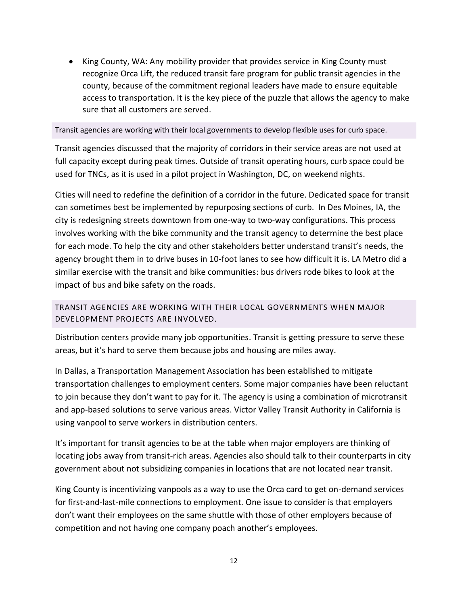• King County, WA: Any mobility provider that provides service in King County must recognize Orca Lift, the reduced transit fare program for public transit agencies in the county, because of the commitment regional leaders have made to ensure equitable access to transportation. It is the key piece of the puzzle that allows the agency to make sure that all customers are served.

<span id="page-12-0"></span>Transit agencies are working with their local governments to develop flexible uses for curb space.

Transit agencies discussed that the majority of corridors in their service areas are not used at full capacity except during peak times. Outside of transit operating hours, curb space could be used for TNCs, as it is used in a pilot project in Washington, DC, on weekend nights.

Cities will need to redefine the definition of a corridor in the future. Dedicated space for transit can sometimes best be implemented by repurposing sections of curb. In Des Moines, IA, the city is redesigning streets downtown from one-way to two-way configurations. This process involves working with the bike community and the transit agency to determine the best place for each mode. To help the city and other stakeholders better understand transit's needs, the agency brought them in to drive buses in 10-foot lanes to see how difficult it is. LA Metro did a similar exercise with the transit and bike communities: bus drivers rode bikes to look at the impact of bus and bike safety on the roads.

<span id="page-12-1"></span>TRANSIT AGENCIES ARE WORKING WITH THEIR LOCAL GOVERNMENTS WHEN MAJOR DEVELOPMENT PROJECTS ARE INVOLVED.

Distribution centers provide many job opportunities. Transit is getting pressure to serve these areas, but it's hard to serve them because jobs and housing are miles away.

In Dallas, a Transportation Management Association has been established to mitigate transportation challenges to employment centers. Some major companies have been reluctant to join because they don't want to pay for it. The agency is using a combination of microtransit and app-based solutions to serve various areas. Victor Valley Transit Authority in California is using vanpool to serve workers in distribution centers.

It's important for transit agencies to be at the table when major employers are thinking of locating jobs away from transit-rich areas. Agencies also should talk to their counterparts in city government about not subsidizing companies in locations that are not located near transit.

King County is incentivizing vanpools as a way to use the Orca card to get on-demand services for first-and-last-mile connections to employment. One issue to consider is that employers don't want their employees on the same shuttle with those of other employers because of competition and not having one company poach another's employees.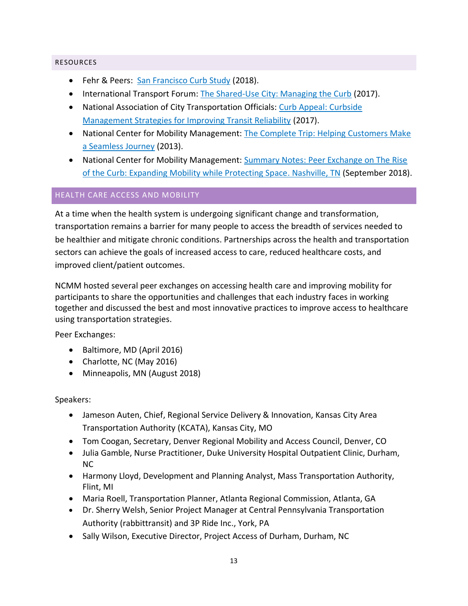#### <span id="page-13-0"></span>RESOURCES

- Fehr & Peers: [San Francisco Curb Study](http://www.fehrandpeers.com/sf-curb-study/) (2018).
- International Transport Forum: [The Shared-Use City: Managing the Curb](https://www.itf-oecd.org/shared-use-city-managing-curb-0) (2017).
- National Association of City Transportation Officials: Curb Appeal: Curbside [Management Strategies for Improving Transit Reliability](https://nacto.org/tsdg/curb-appeal-whitepaper/) (2017).
- National Center for Mobility Management: The Complete Trip: Helping Customers Make [a Seamless Journey](https://nationalcenterformobilitymanagement.org/wp-content/uploads/2013/11/1_Complete_Trip_Final.pdf) (2013).
- National Center for Mobility Management: Summary Notes: Peer Exchange on The Rise [of the Curb: Expanding Mobility while Protecting Space.](https://www.apta.com/resources/mobility/Documents/Nashville%20September%202018%20-%20NCMM_Brief_Template.pdf) Nashville, TN (September 2018).

## <span id="page-13-1"></span>HEALTH CARE ACCESS AND MOBILITY

At a time when the health system is undergoing significant change and transformation, transportation remains a barrier for many people to access the breadth of services needed to be healthier and mitigate chronic conditions. Partnerships across the health and transportation sectors can achieve the goals of increased access to care, reduced healthcare costs, and improved client/patient outcomes.

NCMM hosted several peer exchanges on accessing health care and improving mobility for participants to share the opportunities and challenges that each industry faces in working together and discussed the best and most innovative practices to improve access to healthcare using transportation strategies.

Peer Exchanges:

- Baltimore, MD (April 2016)
- Charlotte, NC (May 2016)
- Minneapolis, MN (August 2018)

## Speakers:

- Jameson Auten, Chief, Regional Service Delivery & Innovation, Kansas City Area Transportation Authority (KCATA), Kansas City, MO
- Tom Coogan, Secretary, Denver Regional Mobility and Access Council, Denver, CO
- Julia Gamble, Nurse Practitioner, Duke University Hospital Outpatient Clinic, Durham, NC
- Harmony Lloyd, Development and Planning Analyst, Mass Transportation Authority, Flint, MI
- Maria Roell, Transportation Planner, Atlanta Regional Commission, Atlanta, GA
- Dr. Sherry Welsh, Senior Project Manager at Central Pennsylvania Transportation Authority (rabbittransit) and 3P Ride Inc., York, PA
- Sally Wilson, Executive Director, Project Access of Durham, Durham, NC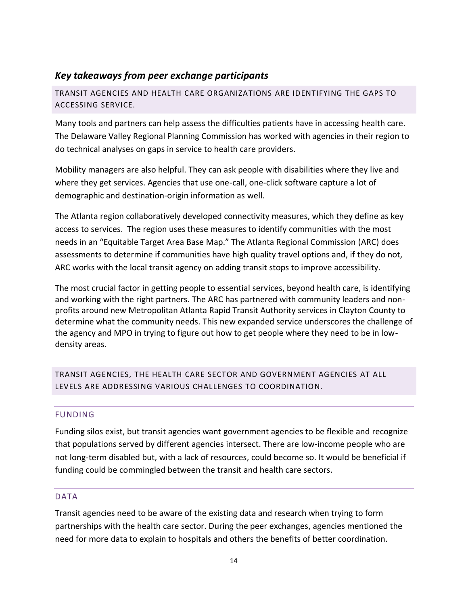# *Key takeaways from peer exchange participants*

<span id="page-14-0"></span>TRANSIT AGENCIES AND HEALTH CARE ORGANIZATIONS ARE IDENTIFYING THE GAPS TO ACCESSING SERVICE.

Many tools and partners can help assess the difficulties patients have in accessing health care. The Delaware Valley Regional Planning Commission has worked with agencies in their region to do technical analyses on gaps in service to health care providers.

Mobility managers are also helpful. They can ask people with disabilities where they live and where they get services. Agencies that use one-call, one-click software capture a lot of demographic and destination-origin information as well.

The Atlanta region collaboratively developed connectivity measures, which they define as key access to services. The region uses these measures to identify communities with the most needs in an "Equitable Target Area Base Map." The Atlanta Regional Commission (ARC) does assessments to determine if communities have high quality travel options and, if they do not, ARC works with the local transit agency on adding transit stops to improve accessibility.

The most crucial factor in getting people to essential services, beyond health care, is identifying and working with the right partners. The ARC has partnered with community leaders and nonprofits around new Metropolitan Atlanta Rapid Transit Authority services in Clayton County to determine what the community needs. This new expanded service underscores the challenge of the agency and MPO in trying to figure out how to get people where they need to be in lowdensity areas.

<span id="page-14-1"></span>TRANSIT AGENCIES, THE HEALTH CARE SECTOR AND GOVERNMENT AGENCIES AT ALL LEVELS ARE ADDRESSING VARIOUS CHALLENGES TO COORDINATION.

# <span id="page-14-2"></span>FUNDING

Funding silos exist, but transit agencies want government agencies to be flexible and recognize that populations served by different agencies intersect. There are low-income people who are not long-term disabled but, with a lack of resources, could become so. It would be beneficial if funding could be commingled between the transit and health care sectors.

## <span id="page-14-3"></span>DATA

Transit agencies need to be aware of the existing data and research when trying to form partnerships with the health care sector. During the peer exchanges, agencies mentioned the need for more data to explain to hospitals and others the benefits of better coordination.